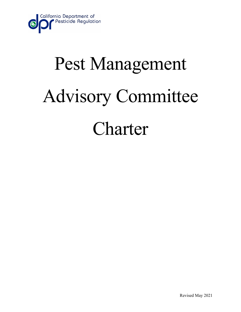

# Pest Management Advisory Committee Charter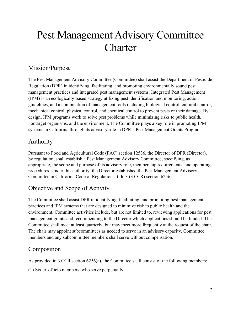# Pest Management Advisory Committee **Charter**

### Mission/Purpose

The Pest Management Advisory Committee (Committee) shall assist the Department of Pesticide Regulation (DPR) in identifying, facilitating, and promoting environmentally sound pest management practices and integrated pest management systems. Integrated Pest Management (IPM) is an ecologically-based strategy utilizing pest identification and monitoring, action guidelines, and a combination of management tools including biological control, cultural control, mechanical control, physical control, and chemical control to prevent pests or their damage. By design, IPM programs work to solve pest problems while minimizing risks to public health, nontarget organisms, and the environment. The Committee plays a key role in promoting IPM systems in California through its advisory role in DPR's Pest Management Grants Program.

#### Authority

Pursuant to Food and Agricultural Code (FAC) section 12536, the Director of DPR (Director), by regulation, shall establish a Pest Management Advisory Committee, specifying, as appropriate, the scope and purpose of its advisory role, membership requirements, and operating procedures. Under this authority, the Director established the Pest Management Advisory Committee in California Code of Regulations, title 3 (3 CCR) section 6256.

# Objective and Scope of Activity

The Committee shall assist DPR in identifying, facilitating, and promoting pest management practices and IPM systems that are designed to minimize risk to public health and the environment. Committee activities include, but are not limited to, reviewing applications for pest management grants and recommending to the Director which applications should be funded. The Committee shall meet at least quarterly, but may meet more frequently at the request of the chair. The chair may appoint subcommittees as needed to serve in an advisory capacity. Committee members and any subcommittee members shall serve without compensation.

## Composition

As provided in 3 CCR section 6256(a), the Committee shall consist of the following members:

(1) Six ex officio members, who serve perpetually: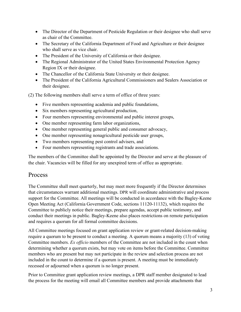- The Director of the Department of Pesticide Regulation or their designee who shall serve as chair of the Committee.
- The Secretary of the California Department of Food and Agriculture or their designee who shall serve as vice chair.
- The President of the University of California or their designee.
- The Regional Administrator of the United States Environmental Protection Agency Region IX or their designee.
- The Chancellor of the California State University or their designee.
- The President of the California Agricultural Commissioners and Sealers Association or their designee.

(2) The following members shall serve a term of office of three years:

- Five members representing academia and public foundations,
- Six members representing agricultural production,
- Four members representing environmental and public interest groups,
- One member representing farm labor organizations,
- One member representing general public and consumer advocacy,
- One member representing nonagricultural pesticide user groups,
- Two members representing pest control advisers, and
- Four members representing registrants and trade associations.

The members of the Committee shall be appointed by the Director and serve at the pleasure of the chair. Vacancies will be filled for any unexpired term of office as appropriate.

#### Process

The Committee shall meet quarterly, but may meet more frequently if the Director determines that circumstances warrant additional meetings. DPR will coordinate administrative and process support for the Committee. All meetings will be conducted in accordance with the Bagley-Keene Open Meeting Act (California Government Code, sections 11120-11132), which requires the Committee to publicly notice their meetings, prepare agendas, accept public testimony, and conduct their meetings in public. Bagley-Keene also places restrictions on remote participation and requires a quorum for all formal committee decisions.

All Committee meetings focused on grant application review or grant-related decision-making require a quorum to be present to conduct a meeting. A quorum means a majority (13) of voting Committee members. *Ex officio* members of the Committee are not included in the count when determining whether a quorum exists, but may vote on items before the Committee. Committee members who are present but may not participate in the review and selection process are not included in the count to determine if a quorum is present. A meeting must be immediately recessed or adjourned when a quorum is no longer present.

Prior to Committee grant application review meetings, a DPR staff member designated to lead the process for the meeting will email all Committee members and provide attachments that